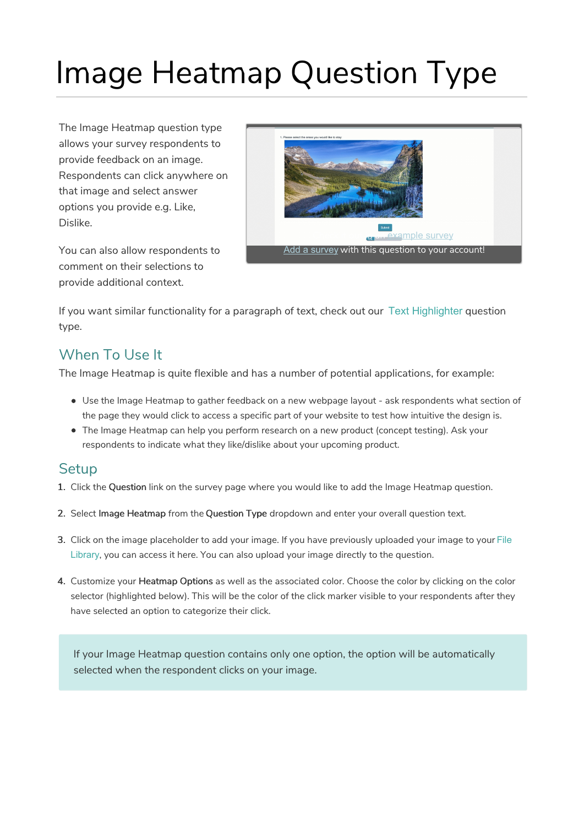# Image Heatmap Question Type

The Image Heatmap question type allows your survey respondents to provide feedback on an image. Respondents can click anywhere on that image and select answer options you provide e.g. Like, Dislike.

You can also allow respondents to comment on their selections to provide additional context.



If you want similar functionality for a paragraph of text, check out our Text Highlighter question type.

## When To Use It

The Image Heatmap is quite flexible and has a number of potential applications, for example:

- Use the Image Heatmap to gather feedback on a new webpage layout ask respondents what section of the page they would click to access a specific part of your website to test how intuitive the design is.
- The Image Heatmap can help you perform research on a new product (concept testing). Ask your respondents to indicate what they like/dislike about your upcoming product.

## **Setup**

- 1. Click the Question link on the survey page where you would like to add the Image Heatmap question.
- 2. Select Image Heatmap from the Question Type dropdown and enter your overall question text.
- 3. Click on the image placeholder to add your image. If you have previously uploaded your image to your File Library, you can access it here. You can also upload your image directly to the question.
- 4. Customize your Heatmap Options as well as the associated color. Choose the color by clicking on the color selector (highlighted below). This will be the color of the click marker visible to your respondents after they have selected an option to categorize their click.

If your Image Heatmap question contains only one option, the option will be automatically selected when the respondent clicks on your image.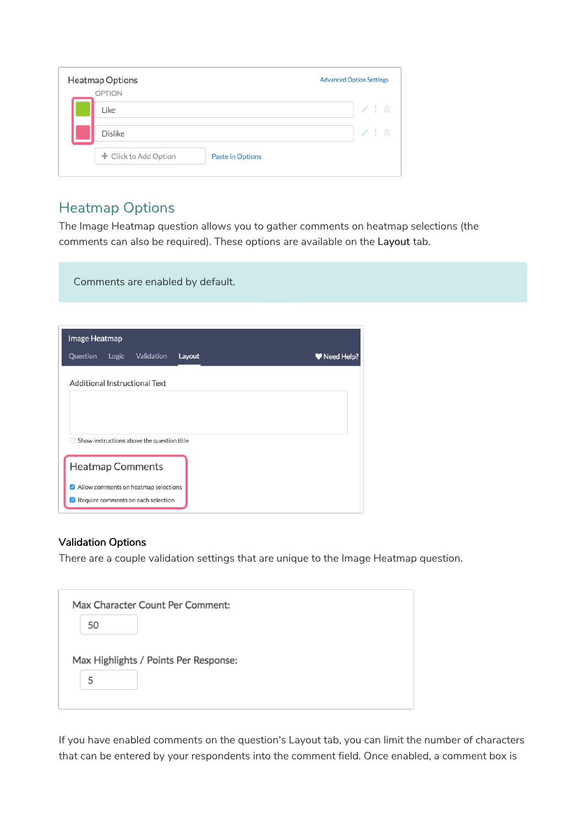| <b>Heatmap Options</b> |                         | <b>Advanced Option Settings</b> |
|------------------------|-------------------------|---------------------------------|
| <b>OPTION</b><br>Like  |                         | $\sim$ 1 $\text{m}$             |
| <b>Dislike</b>         |                         | √Ⅰ □                            |
| + Click to Add Option  | <b>Paste in Options</b> |                                 |
|                        |                         |                                 |

## Heatmap Options

Comments are enabled by default.

The Image Heatmap question allows you to gather comments on heatmap selections (the comments can also be required). These options are available on the Layout tab.

| Image Heatmap |       |                                            |        |  |            |  |
|---------------|-------|--------------------------------------------|--------|--|------------|--|
| Question      | Logic | Validation                                 | Layout |  | Weed Help? |  |
|               |       | <b>Additional Instructional Text</b>       |        |  |            |  |
|               |       |                                            |        |  |            |  |
|               |       |                                            |        |  |            |  |
| п             |       | Show instructions above the question title |        |  |            |  |
|               |       | <b>Heatmap Comments</b>                    |        |  |            |  |
|               |       | Allow comments on heatmap selections       |        |  |            |  |
|               |       | Require comments on each selection         |        |  |            |  |

#### Validation Options

There are a couple validation settings that are unique to the Image Heatmap question.

If you have enabled comments on the question's Layout tab, you can limit the number of characters that can be entered by your respondents into the comment field. Once enabled, a comment box is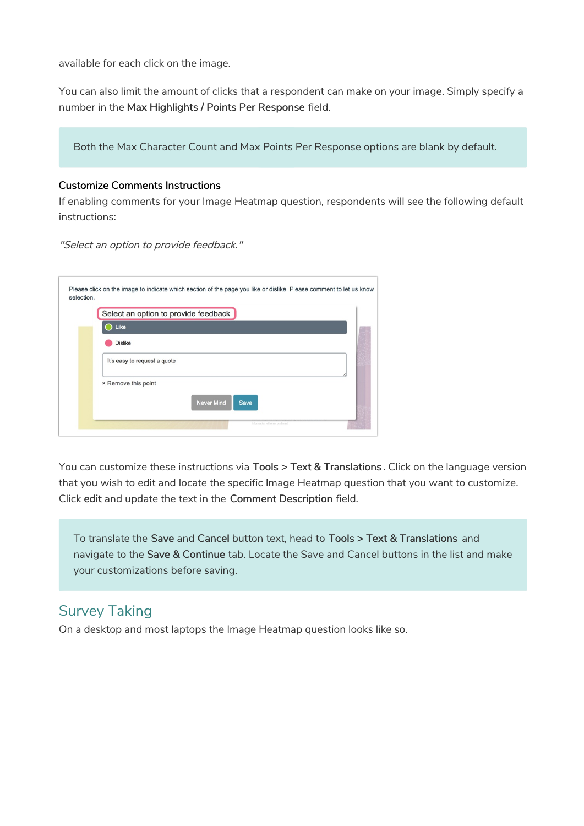available for each click on the image.

You can also limit the amount of clicks that a respondent can make on your image. Simply specify a number in the Max Highlights / Points Per Response field.

Both the Max Character Count and Max Points Per Response options are blank by default.

#### Customize Comments Instructions

If enabling comments for your Image Heatmap question, respondents will see the following default instructions:

"Select an option to provide feedback."

|                              | Select an option to provide feedback |  |
|------------------------------|--------------------------------------|--|
| Like                         |                                      |  |
| <b>Dislike</b>               |                                      |  |
| It's easy to request a quote |                                      |  |
| × Remove this point          |                                      |  |
|                              | <b>Never Mind</b><br><b>Save</b>     |  |

You can customize these instructions via Tools > Text & Translations. Click on the language version that you wish to edit and locate the specific Image Heatmap question that you want to customize. Click edit and update the text in the Comment Description field.

To translate the Save and Cancel button text, head to Tools > Text & Translations and navigate to the Save & Continue tab. Locate the Save and Cancel buttons in the list and make your customizations before saving.

## Survey Taking

On a desktop and most laptops the Image Heatmap question looks like so.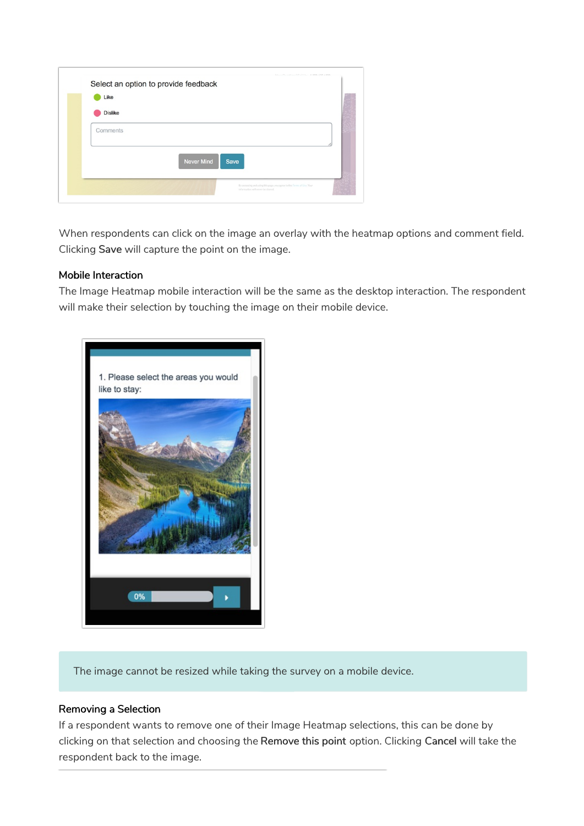| Like           |                   |      |  |
|----------------|-------------------|------|--|
| <b>Dislike</b> |                   |      |  |
| Comments       |                   |      |  |
|                |                   |      |  |
|                | <b>Never Mind</b> | Save |  |
|                |                   |      |  |

When respondents can click on the image an overlay with the heatmap options and comment field. Clicking Save will capture the point on the image.

#### Mobile Interaction

The Image Heatmap mobile interaction will be the same as the desktop interaction. The respondent will make their selection by touching the image on their mobile device.



The image cannot be resized while taking the survey on a mobile device.

#### Removing a Selection

If a respondent wants to remove one of their Image Heatmap selections, this can be done by clicking on that selection and choosing the Remove this point option. Clicking Cancel will take the respondent back to the image.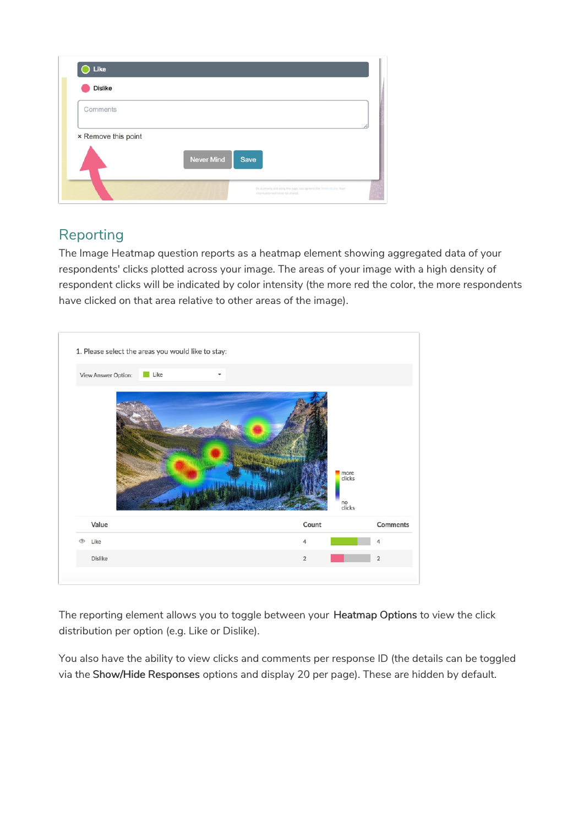| <b>Dislike</b>      |                    |  |
|---------------------|--------------------|--|
| Comments            |                    |  |
| × Remove this point |                    |  |
|                     | Never Mind<br>Save |  |
|                     |                    |  |

## Reporting

The Image Heatmap question reports as a heatmap element showing aggregated data of your respondents' clicks plotted across your image. The areas of your image with a high density of respondent clicks will be indicated by color intensity (the more red the color, the more respondents have clicked on that area relative to other areas of the image).

|   | View Answer Option: | Like |  |                |       |                                |                      |
|---|---------------------|------|--|----------------|-------|--------------------------------|----------------------|
|   |                     |      |  |                |       |                                |                      |
|   |                     |      |  |                |       | more<br>clicks<br>no<br>clicks |                      |
|   | Value               |      |  |                | Count |                                |                      |
| ര | Like                |      |  | $\overline{4}$ |       |                                | <b>Comments</b><br>4 |

The reporting element allows you to toggle between your Heatmap Options to view the click distribution per option (e.g. Like or Dislike).

You also have the ability to view clicks and comments per response ID (the details can be toggled via the Show/Hide Responses options and display 20 per page). These are hidden by default.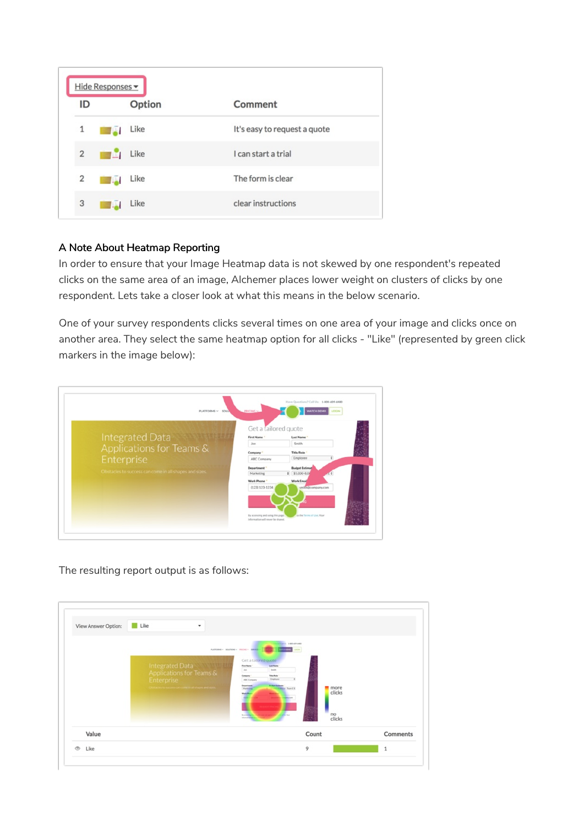|    | Hide Responses -       |        |                              |
|----|------------------------|--------|------------------------------|
| ID |                        | Option | Comment                      |
| 1  | <b>TABLE</b>           | Like   | It's easy to request a quote |
|    | $2 \quad \blacksquare$ | Like   | I can start a trial          |
| 2  | <b>TABLE</b>           | Like   | The form is clear            |
| 3  |                        | Like   | clear instructions           |

#### A Note About Heatmap Reporting

In order to ensure that your Image Heatmap data is not skewed by one respondent's repeated clicks on the same area of an image, Alchemer places lower weight on clusters of clicks by one respondent. Lets take a closer look at what this means in the below scenario.

One of your survey respondents clicks several times on one area of your image and clicks once on another area. They select the same heatmap option for all clicks - "Like" (represented by green click markers in the image below):

| PLATFORMS V SOLU                                       | <b>PRICING V.</b>                                                     | <b>WATCH DEMO</b><br>LOGIN |
|--------------------------------------------------------|-----------------------------------------------------------------------|----------------------------|
|                                                        | Get a failored quote                                                  |                            |
| <b>Integrated Data</b>                                 | <b>First Name</b>                                                     | Last Name                  |
|                                                        | Jon                                                                   | Smith                      |
| Applications for Teams &                               | Company                                                               | Title/Role                 |
| Enterprise                                             | ABC Company                                                           | Employee                   |
|                                                        | Department                                                            | <b>Budget Estimat</b>      |
| Obstacles to success can come in all shapes and sizes. | Marketing                                                             | $$5,000-8.00$              |
|                                                        | Work Phone                                                            | <b>Work Email</b>          |
|                                                        | (123) 123-1234                                                        | smith@company.com          |
|                                                        |                                                                       |                            |
|                                                        |                                                                       |                            |
|                                                        |                                                                       |                            |
|                                                        | By accessing and using this page.<br>information will never be shared | up the Terms of Uve, Your  |

The resulting report output is as follows:

| Value               |                                                                                                                    | Count                                                                                                                                                                                                                                                                                                                                           | Comments |
|---------------------|--------------------------------------------------------------------------------------------------------------------|-------------------------------------------------------------------------------------------------------------------------------------------------------------------------------------------------------------------------------------------------------------------------------------------------------------------------------------------------|----------|
|                     | Integrated Data<br>Applications for Teams &<br>Enterprise<br>Obstacles to success can come in all shapes and sizes | Get a tailored quote<br>Fox News<br>Los None<br>teen.<br>John<br>Telefisk<br>Company<br>Employee<br>ABC Company<br><b><i><u>Bullet Estimate</u></i></b><br><b>Department</b><br>more<br>11 Hilling - Scott E.<br>Marketing<br>clicks<br><b>Warls Plaza</b><br>no<br>clicks<br><b>CARD CARD CARD IN</b><br><b>Screening</b><br><b>STATISTICS</b> |          |
| View Answer Option: | Like                                                                                                               | <b>ATENTIC EXPLORATION</b><br><b>PLATFORMS - ROUTIDRE - FRICINE - REPORT</b><br><b>ANTIQUES CARDS</b>                                                                                                                                                                                                                                           |          |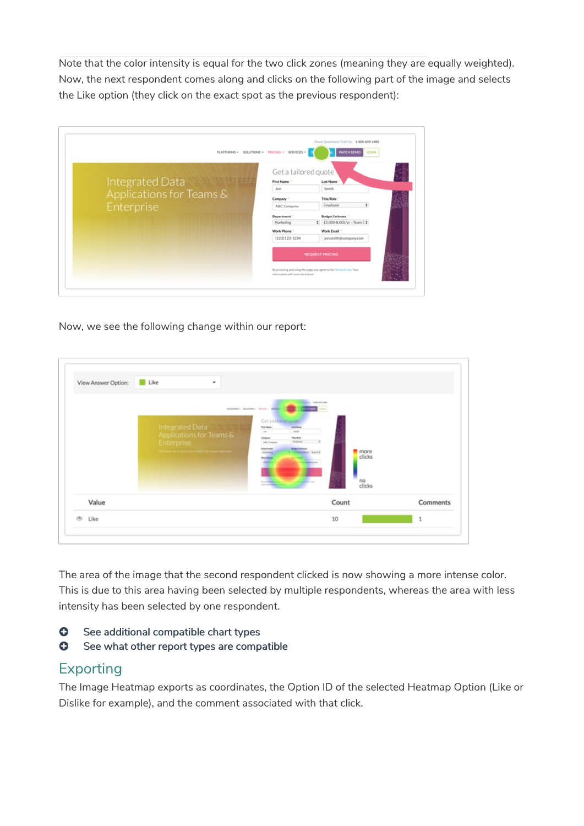Note that the color intensity is equal for the two click zones (meaning they are equally weighted). Now, the next respondent comes along and clicks on the following part of the image and selects the Like option (they click on the exact spot as the previous respondent):

|                          | PLATFORMS $\vee$ SOLUTIONS $\vee$ PRICING $\vee$ SERVICES $\vee$ | Have Questions? Call Us: 1-800-609-6480<br><b>WATCH DEMO</b><br>LOGIN                           |
|--------------------------|------------------------------------------------------------------|-------------------------------------------------------------------------------------------------|
|                          | Get a tailored quote                                             |                                                                                                 |
| Integrated Data          | <b>First Name</b>                                                | <b>Last Name</b>                                                                                |
|                          | Jon                                                              | Smith                                                                                           |
| Applications for Teams & | Company *                                                        | Title/Role                                                                                      |
| Enterprise               | ABC Company                                                      | Employee                                                                                        |
|                          | <b>Department</b>                                                | <b>Budget Estimate</b>                                                                          |
|                          | Marketing                                                        | $5.000-8.000/\gamma - \text{Team E}$                                                            |
|                          | <b>Work Phone</b>                                                | Work Email                                                                                      |
|                          | (123) 123-1234                                                   | jon.smith@company.com                                                                           |
|                          | information will never be shared.                                | <b>REQUEST PRICING</b><br>By accessing and using this page, you agree to the Terms of Use, Your |

Now, we see the following change within our report:

| case and<br>PLATFORMS - MOUNTERLY STATERING<br>Get a tailored quote<br>Integrated Data<br>Luckiew<br><b>First Marie</b><br>Seattle<br>Ass.<br>Applications for Teams &<br>Telefish<br>Company<br>Employee<br>Enterprise<br>ABC Company<br><b>Bulger Entimate</b><br><b>Department</b><br>Clintacin to success can come in all shopes and sizes<br>more<br>"Hillsburgher - Team I II<br><b>Handing</b><br>clicks<br><b>Work Phone</b><br><b>GENERA</b><br><b><i>CARDINAL CARD</i></b><br>no<br>clicks<br>the commentation of<br><b>Partial of Con-Tenant</b><br><b>International Asia</b> | Value |  | Count | Comments |
|------------------------------------------------------------------------------------------------------------------------------------------------------------------------------------------------------------------------------------------------------------------------------------------------------------------------------------------------------------------------------------------------------------------------------------------------------------------------------------------------------------------------------------------------------------------------------------------|-------|--|-------|----------|
|                                                                                                                                                                                                                                                                                                                                                                                                                                                                                                                                                                                          |       |  |       |          |

The area of the image that the second respondent clicked is now showing a more intense color. This is due to this area having been selected by multiple respondents, whereas the area with less intensity has been selected by one respondent.

- **O** See additional compatible chart types
- **G** See what other report types are compatible

### Exporting

The Image Heatmap exports as coordinates, the Option ID of the selected Heatmap Option (Like or Dislike for example), and the comment associated with that click.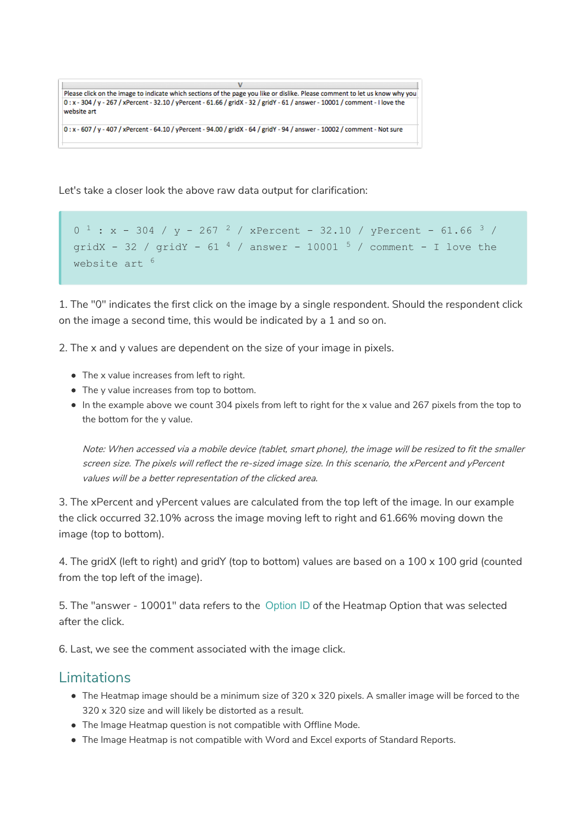$\mathbf{V}$ Please click on the image to indicate which sections of the page you like or dislike. Please comment to let us know why you 0:x-304/y-267/xPercent-32.10/yPercent-61.66/gridX-32/gridY-61/answer-10001/comment-I love the website art

0: x - 607 / y - 407 / xPercent - 64.10 / yPercent - 94.00 / gridX - 64 / gridY - 94 / answer - 10002 / comment - Not sure

Let's take a closer look the above raw data output for clarification:

```
0 1: x - 304 / y - 267 / xPercent - 32.10 / yPercent - 61.66 3 /gridX - 32 / gridY - 61 ^4 / answer - 10001 ^5 / comment - I love the
website art
6
```
1. The "0" indicates the first click on the image by a single respondent. Should the respondent click on the image a second time, this would be indicated by a 1 and so on.

2. The x and y values are dependent on the size of your image in pixels.

- The x value increases from left to right.
- The y value increases from top to bottom.
- In the example above we count 304 pixels from left to right for the x value and 267 pixels from the top to the bottom for the y value.

Note: When accessed via <sup>a</sup> mobile device (tablet, smart phone), the image will be resized to fit the smaller screen size. The pixels will reflect the re-sized image size. In this scenario, the xPercent and yPercent values will be <sup>a</sup> better representation of the clicked area.

3. The xPercent and yPercent values are calculated from the top left of the image. In our example the click occurred 32.10% across the image moving left to right and 61.66% moving down the image (top to bottom).

4. The gridX (left to right) and gridY (top to bottom) values are based on a 100 x 100 grid (counted from the top left of the image).

5. The "answer - 10001" data refers to the Option ID of the Heatmap Option that was selected after the click.

6. Last, we see the comment associated with the image click.

## Limitations

- The Heatmap image should be a minimum size of 320 x 320 pixels. A smaller image will be forced to the 320 x 320 size and will likely be distorted as a result.
- The Image Heatmap question is not compatible with Offline Mode.
- The Image Heatmap is not compatible with Word and Excel exports of Standard Reports.